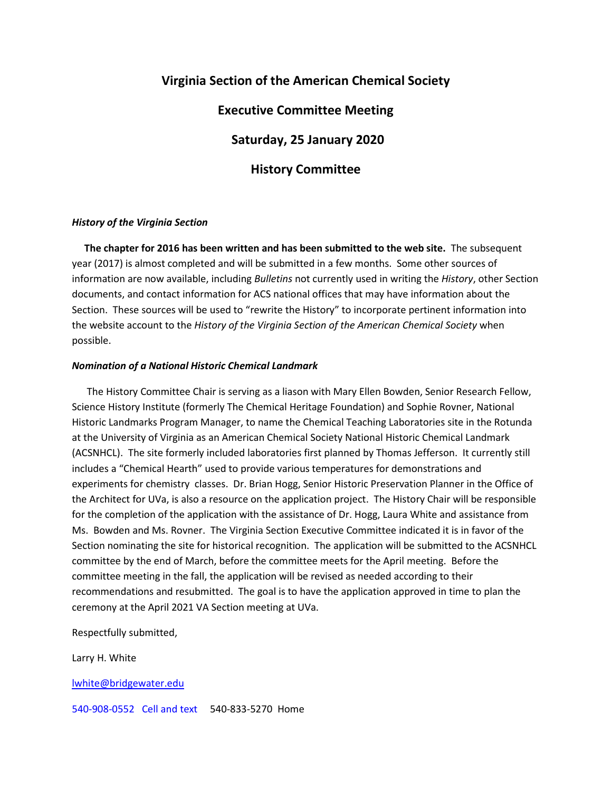# **Virginia Section of the American Chemical Society**

### **Executive Committee Meeting**

 **Saturday, 25 January 2020**

### **History Committee**

#### *History of the Virginia Section*

 **The chapter for 2016 has been written and has been submitted to the web site.** The subsequent year (2017) is almost completed and will be submitted in a few months. Some other sources of information are now available, including *Bulletins* not currently used in writing the *History*, other Section documents, and contact information for ACS national offices that may have information about the Section. These sources will be used to "rewrite the History" to incorporate pertinent information into the website account to the *History of the Virginia Section of the American Chemical Society* when possible.

#### *Nomination of a National Historic Chemical Landmark*

 The History Committee Chair is serving as a liason with Mary Ellen Bowden, Senior Research Fellow, Science History Institute (formerly The Chemical Heritage Foundation) and Sophie Rovner, National Historic Landmarks Program Manager, to name the Chemical Teaching Laboratories site in the Rotunda at the University of Virginia as an American Chemical Society National Historic Chemical Landmark (ACSNHCL). The site formerly included laboratories first planned by Thomas Jefferson. It currently still includes a "Chemical Hearth" used to provide various temperatures for demonstrations and experiments for chemistry classes. Dr. Brian Hogg, Senior Historic Preservation Planner in the Office of the Architect for UVa, is also a resource on the application project. The History Chair will be responsible for the completion of the application with the assistance of Dr. Hogg, Laura White and assistance from Ms. Bowden and Ms. Rovner. The Virginia Section Executive Committee indicated it is in favor of the Section nominating the site for historical recognition. The application will be submitted to the ACSNHCL committee by the end of March, before the committee meets for the April meeting. Before the committee meeting in the fall, the application will be revised as needed according to their recommendations and resubmitted. The goal is to have the application approved in time to plan the ceremony at the April 2021 VA Section meeting at UVa.

Respectfully submitted,

Larry H. White

#### [lwhite@bridgewater.edu](mailto:lwhite@bridgewater.edu)

540-908-0552 Cell and text 540-833-5270 Home